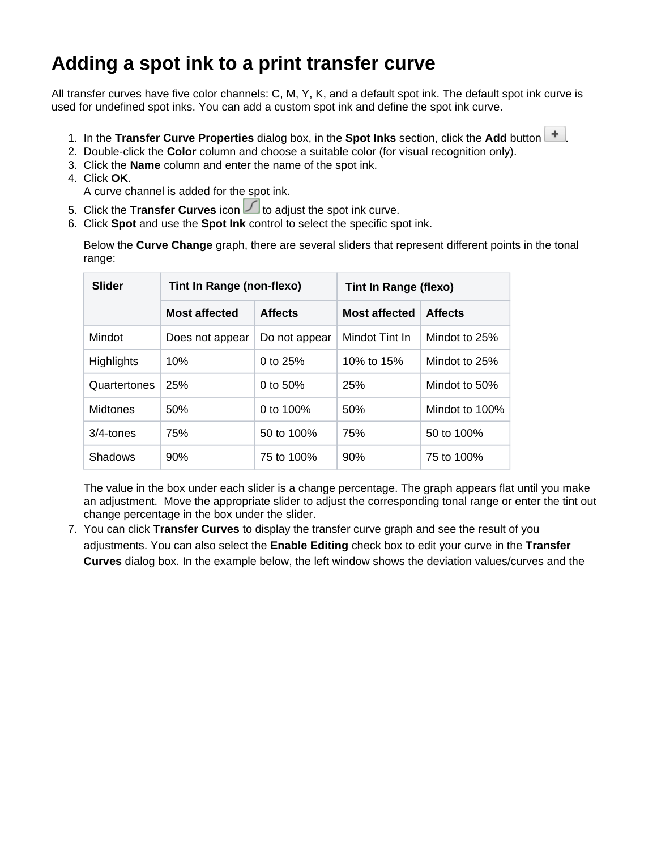## **Adding a spot ink to a print transfer curve**

All transfer curves have five color channels: C, M, Y, K, and a default spot ink. The default spot ink curve is used for undefined spot inks. You can add a custom spot ink and define the spot ink curve.

- 1. In the **Transfer Curve Properties** dialog box, in the **Spot Inks** section, click the **Add** button .
- 2. Double-click the **Color** column and choose a suitable color (for visual recognition only).
- 3. Click the **Name** column and enter the name of the spot ink.
- 4. Click **OK**.
	- A curve channel is added for the spot ink.
- 5. Click the **Transfer Curves** icon **Let** to adjust the spot ink curve.
- 6. Click **Spot** and use the **Spot Ink** control to select the specific spot ink.

Below the **Curve Change** graph, there are several sliders that represent different points in the tonal range:

| <b>Slider</b>     | <b>Tint In Range (non-flexo)</b> |                | <b>Tint In Range (flexo)</b> |                |
|-------------------|----------------------------------|----------------|------------------------------|----------------|
|                   | <b>Most affected</b>             | <b>Affects</b> | <b>Most affected</b>         | <b>Affects</b> |
| Mindot            | Does not appear                  | Do not appear  | Mindot Tint In               | Mindot to 25%  |
| <b>Highlights</b> | 10%                              | 0 to $25%$     | 10% to 15%                   | Mindot to 25%  |
| Quartertones      | 25%                              | 0 to $50\%$    | 25%                          | Mindot to 50%  |
| <b>Midtones</b>   | 50%                              | 0 to $100%$    | 50%                          | Mindot to 100% |
| $3/4$ -tones      | 75%                              | 50 to 100%     | 75%                          | 50 to 100%     |
| Shadows           | 90%                              | 75 to 100%     | 90%                          | 75 to 100%     |

The value in the box under each slider is a change percentage. The graph appears flat until you make an adjustment. Move the appropriate slider to adjust the corresponding tonal range or enter the tint out change percentage in the box under the slider.

7. You can click **Transfer Curves** to display the transfer curve graph and see the result of you adjustments. You can also select the **Enable Editing** check box to edit your curve in the **Transfer Curves** dialog box. In the example below, the left window shows the deviation values/curves and the